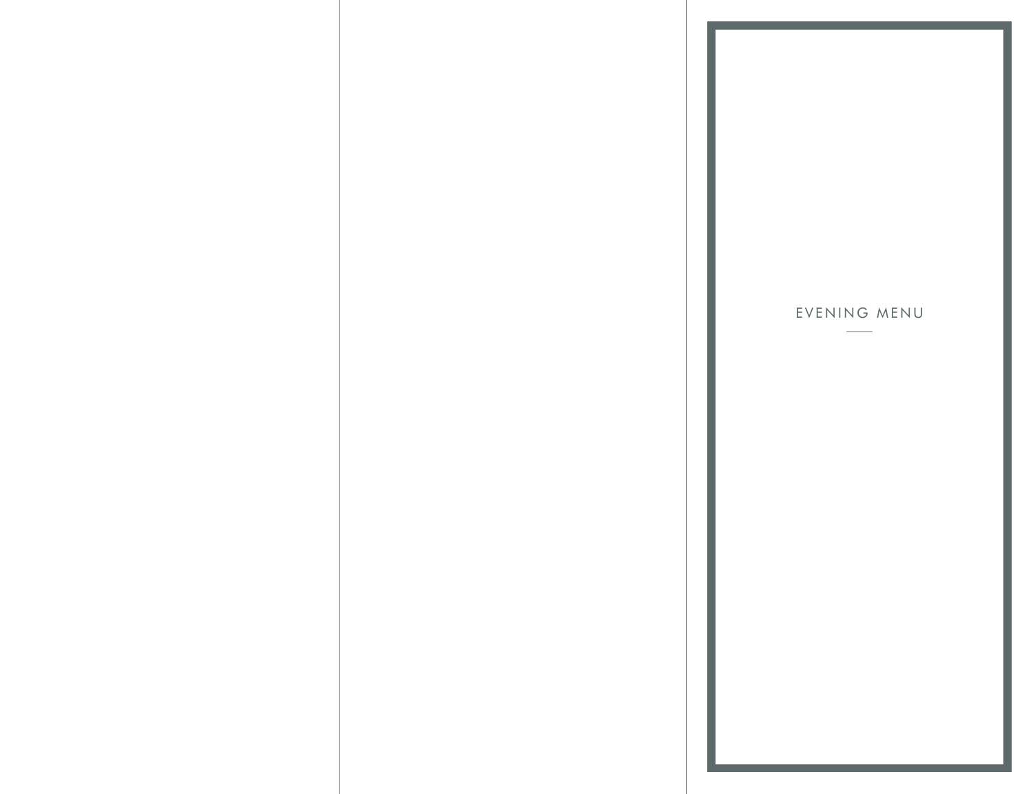# EVENING MENU